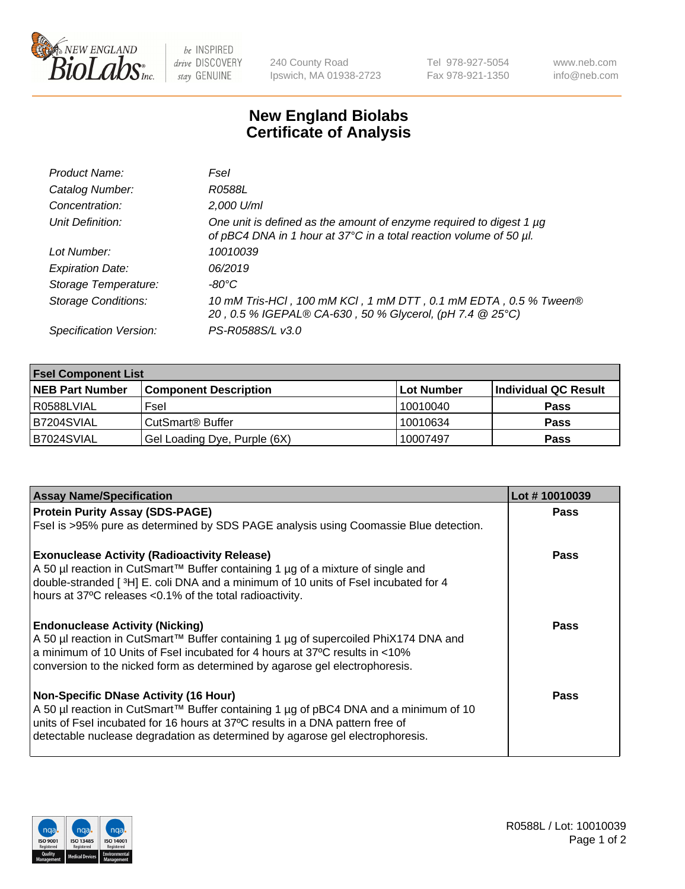

be INSPIRED drive DISCOVERY stay GENUINE

240 County Road Ipswich, MA 01938-2723 Tel 978-927-5054 Fax 978-921-1350

www.neb.com info@neb.com

## **New England Biolabs Certificate of Analysis**

| Product Name:              | Fsel                                                                                                                                      |
|----------------------------|-------------------------------------------------------------------------------------------------------------------------------------------|
| Catalog Number:            | R0588L                                                                                                                                    |
| Concentration:             | 2,000 U/ml                                                                                                                                |
| Unit Definition:           | One unit is defined as the amount of enzyme required to digest 1 µg<br>of pBC4 DNA in 1 hour at 37°C in a total reaction volume of 50 µl. |
| Lot Number:                | 10010039                                                                                                                                  |
| <b>Expiration Date:</b>    | 06/2019                                                                                                                                   |
| Storage Temperature:       | -80°C                                                                                                                                     |
| <b>Storage Conditions:</b> | 10 mM Tris-HCl, 100 mM KCl, 1 mM DTT, 0.1 mM EDTA, 0.5 % Tween®<br>20, 0.5 % IGEPAL® CA-630, 50 % Glycerol, (pH 7.4 @ 25°C)               |
| Specification Version:     | PS-R0588S/L v3.0                                                                                                                          |

| <b>Fsel Component List</b> |                              |            |                      |  |  |
|----------------------------|------------------------------|------------|----------------------|--|--|
| <b>NEB Part Number</b>     | <b>Component Description</b> | Lot Number | Individual QC Result |  |  |
| R0588LVIAL                 | Fsel                         | 10010040   | <b>Pass</b>          |  |  |
| B7204SVIAL                 | CutSmart <sup>®</sup> Buffer | 10010634   | <b>Pass</b>          |  |  |
| B7024SVIAL                 | Gel Loading Dye, Purple (6X) | 10007497   | <b>Pass</b>          |  |  |

| <b>Assay Name/Specification</b>                                                                                                                                | Lot #10010039 |
|----------------------------------------------------------------------------------------------------------------------------------------------------------------|---------------|
| <b>Protein Purity Assay (SDS-PAGE)</b>                                                                                                                         | <b>Pass</b>   |
| Fsel is >95% pure as determined by SDS PAGE analysis using Coomassie Blue detection.                                                                           |               |
| <b>Exonuclease Activity (Radioactivity Release)</b>                                                                                                            | <b>Pass</b>   |
| A 50 µl reaction in CutSmart™ Buffer containing 1 µg of a mixture of single and                                                                                |               |
| double-stranded [3H] E. coli DNA and a minimum of 10 units of Fsel incubated for 4                                                                             |               |
| hours at 37°C releases <0.1% of the total radioactivity.                                                                                                       |               |
| <b>Endonuclease Activity (Nicking)</b>                                                                                                                         | <b>Pass</b>   |
| A 50 µl reaction in CutSmart™ Buffer containing 1 µg of supercoiled PhiX174 DNA and                                                                            |               |
| a minimum of 10 Units of Fsel incubated for 4 hours at 37°C results in <10%                                                                                    |               |
| conversion to the nicked form as determined by agarose gel electrophoresis.                                                                                    |               |
| <b>Non-Specific DNase Activity (16 Hour)</b>                                                                                                                   | Pass          |
| A 50 µl reaction in CutSmart™ Buffer containing 1 µg of pBC4 DNA and a minimum of 10                                                                           |               |
| units of Fsel incubated for 16 hours at 37°C results in a DNA pattern free of<br>detectable nuclease degradation as determined by agarose gel electrophoresis. |               |
|                                                                                                                                                                |               |